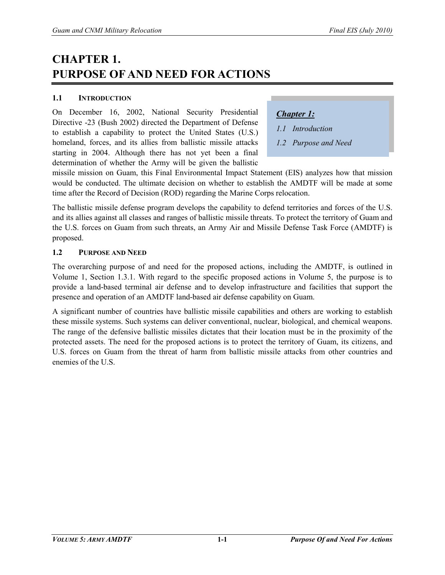## **CHAPTER 1. PURPOSE OF AND NEED FOR ACTIONS**

## **1.1 INTRODUCTION**

On December 16, 2002, National Security Presidential Directive -23 (Bush 2002) directed the Department of Defense to establish a capability to protect the United States (U.S.) homeland, forces, and its allies from ballistic missile attacks starting in 2004. Although there has not yet been a final determination of whether the Army will be given the ballistic

## *Chapter 1:*

- *1.1 Introduction*
- *1.2 Purpose and Need*

missile mission on Guam, this Final Environmental Impact Statement (EIS) analyzes how that mission would be conducted. The ultimate decision on whether to establish the AMDTF will be made at some time after the Record of Decision (ROD) regarding the Marine Corps relocation.

The ballistic missile defense program develops the capability to defend territories and forces of the U.S. and its allies against all classes and ranges of ballistic missile threats. To protect the territory of Guam and the U.S. forces on Guam from such threats, an Army Air and Missile Defense Task Force (AMDTF) is proposed.

## **1.2 PURPOSE AND NEED**

The overarching purpose of and need for the proposed actions, including the AMDTF, is outlined in Volume 1, Section 1.3.1. With regard to the specific proposed actions in Volume 5, the purpose is to provide a land-based terminal air defense and to develop infrastructure and facilities that support the presence and operation of an AMDTF land-based air defense capability on Guam.

A significant number of countries have ballistic missile capabilities and others are working to establish these missile systems. Such systems can deliver conventional, nuclear, biological, and chemical weapons. The range of the defensive ballistic missiles dictates that their location must be in the proximity of the protected assets. The need for the proposed actions is to protect the territory of Guam, its citizens, and U.S. forces on Guam from the threat of harm from ballistic missile attacks from other countries and enemies of the U.S.